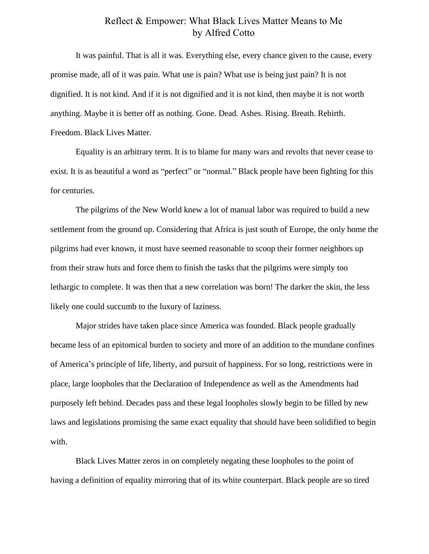## Reflect & Empower: What Black Lives Matter Means to Me by Alfred Cotto

It was painful. That is all it was. Everything else, every chance given to the cause, every promise made, all of it was pain. What use is pain? What use is being just pain? It is not dignified. It is not kind. And if it is not dignified and it is not kind, then maybe it is not worth anything. Maybe it is better off as nothing. Gone. Dead. Ashes. Rising. Breath. Rebirth. Freedom. Black Lives Matter.

Equality is an arbitrary term. It is to blame for many wars and revolts that never cease to exist. It is as beautiful a word as "perfect" or "normal." Black people have been fighting for this for centuries.

The pilgrims of the New World knew a lot of manual labor was required to build a new settlement from the ground up. Considering that Africa is just south of Europe, the only home the pilgrims had ever known, it must have seemed reasonable to scoop their former neighbors up from their straw huts and force them to finish the tasks that the pilgrims were simply too lethargic to complete. It was then that a new correlation was born! The darker the skin, the less likely one could succumb to the luxury of laziness.

Major strides have taken place since America was founded. Black people gradually became less of an epitomical burden to society and more of an addition to the mundane confines of America's principle of life, liberty, and pursuit of happiness. For so long, restrictions were in place, large loopholes that the Declaration of Independence as well as the Amendments had purposely left behind. Decades pass and these legal loopholes slowly begin to be filled by new laws and legislations promising the same exact equality that should have been solidified to begin with.

Black Lives Matter zeros in on completely negating these loopholes to the point of having a definition of equality mirroring that of its white counterpart. Black people are so tired